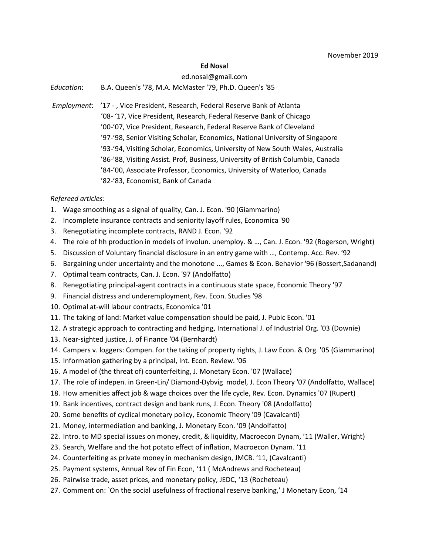#### **Ed Nosal**

### ed.nosal@gmail.com

*Education*: B.A. Queen's '78, M.A. McMaster '79, Ph.D. Queen's '85

*Employment*: '17 - , Vice President, Research, Federal Reserve Bank of Atlanta

'08- '17, Vice President, Research, Federal Reserve Bank of Chicago

'00-'07, Vice President, Research, Federal Reserve Bank of Cleveland

- '97-'98, Senior Visiting Scholar, Economics, National University of Singapore
- '93-'94, Visiting Scholar, Economics, University of New South Wales, Australia
- '86-'88, Visiting Assist. Prof, Business, University of British Columbia, Canada
- '84-'00, Associate Professor, Economics, University of Waterloo, Canada
- '82-'83, Economist, Bank of Canada

### *Refereed articles*:

- 1. Wage smoothing as a signal of quality, Can. J. Econ. '90 (Giammarino)
- 2. Incomplete insurance contracts and seniority layoff rules, Economica '90
- 3. Renegotiating incomplete contracts, RAND J. Econ. '92
- 4. The role of hh production in models of involun. unemploy. & …, Can. J. Econ. '92 (Rogerson, Wright)
- 5. Discussion of Voluntary financial disclosure in an entry game with …, Contemp. Acc. Rev. '92
- 6. Bargaining under uncertainty and the monotone ..., Games & Econ. Behavior '96 (Bossert,Sadanand)
- 7. Optimal team contracts, Can. J. Econ. '97 (Andolfatto)
- 8. Renegotiating principal-agent contracts in a continuous state space, Economic Theory '97
- 9. Financial distress and underemployment, Rev. Econ. Studies '98
- 10. Optimal at-will labour contracts, Economica '01
- 11. The taking of land: Market value compensation should be paid, J. Pubic Econ. '01
- 12. A strategic approach to contracting and hedging, International J. of Industrial Org. '03 (Downie)
- 13. Near-sighted justice, J. of Finance '04 (Bernhardt)
- 14. Campers v. loggers: Compen. for the taking of property rights, J. Law Econ. & Org. '05 (Giammarino)
- 15. Information gathering by a principal, Int. Econ. Review. '06
- 16. A model of (the threat of) counterfeiting, J. Monetary Econ. '07 (Wallace)
- 17. The role of indepen. in Green-Lin/ Diamond-Dybvig model, J. Econ Theory '07 (Andolfatto, Wallace)
- 18. How amenities affect job & wage choices over the life cycle, Rev. Econ. Dynamics '07 (Rupert)
- 19. Bank incentives, contract design and bank runs, J. Econ. Theory '08 (Andolfatto)
- 20. Some benefits of cyclical monetary policy, Economic Theory '09 (Cavalcanti)
- 21. Money, intermediation and banking, J. Monetary Econ. '09 (Andolfatto)
- 22. Intro. to MD special issues on money, credit, & liquidity, Macroecon Dynam, '11 (Waller, Wright)
- 23. Search, Welfare and the hot potato effect of inflation, Macroecon Dynam. '11
- 24. Counterfeiting as private money in mechanism design, JMCB. '11, (Cavalcanti)
- 25. Payment systems, Annual Rev of Fin Econ, '11 ( McAndrews and Rocheteau)
- 26. Pairwise trade, asset prices, and monetary policy, JEDC, '13 (Rocheteau)
- 27. Comment on: `On the social usefulness of fractional reserve banking,' J Monetary Econ, '14